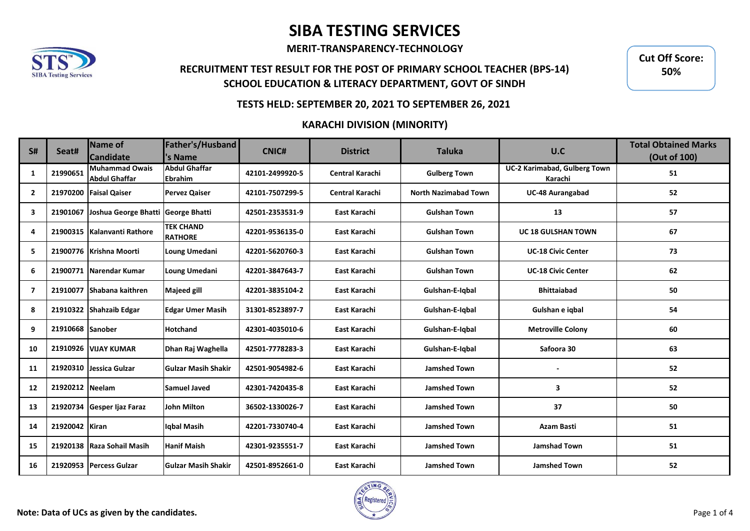**MERIT-TRANSPARENCY-TECHNOLOGY**

## **RECRUITMENT TEST RESULT FOR THE POST OF PRIMARY SCHOOL TEACHER (BPS-14) SCHOOL EDUCATION & LITERACY DEPARTMENT, GOVT OF SINDH**

**Cut Off Score: 50%**

#### **TESTS HELD: SEPTEMBER 20, 2021 TO SEPTEMBER 26, 2021**

### **KARACHI DIVISION (MINORITY)**

| <b>S#</b>      | Seat#            | Name of<br><b>Candidate</b>                   | Father's/Husband<br>'s Name            | <b>CNIC#</b>    | <b>District</b>        | <b>Taluka</b>               | U.C                                     | <b>Total Obtained Marks</b><br>(Out of 100) |
|----------------|------------------|-----------------------------------------------|----------------------------------------|-----------------|------------------------|-----------------------------|-----------------------------------------|---------------------------------------------|
| 1              | 21990651         | <b>Muhammad Owais</b><br><b>Abdul Ghaffar</b> | <b>Abdul Ghaffar</b><br><b>Ebrahim</b> | 42101-2499920-5 | <b>Central Karachi</b> | <b>Gulberg Town</b>         | UC-2 Karimabad, Gulberg Town<br>Karachi | 51                                          |
| $\overline{2}$ |                  | 21970200 Faisal Qaiser                        | <b>Pervez Qaiser</b>                   | 42101-7507299-5 | <b>Central Karachi</b> | <b>North Nazimabad Town</b> | <b>UC-48 Aurangabad</b>                 | 52                                          |
| 3              | 21901067         | Joshua George Bhatti                          | George Bhatti                          | 42501-2353531-9 | East Karachi           | <b>Gulshan Town</b>         | 13                                      | 57                                          |
| 4              |                  | 21900315   Kalanvanti Rathore                 | <b>TEK CHAND</b><br><b>RATHORE</b>     | 42201-9536135-0 | East Karachi           | <b>Gulshan Town</b>         | <b>UC 18 GULSHAN TOWN</b>               | 67                                          |
| 5              |                  | 21900776 Krishna Moorti                       | Loung Umedani                          | 42201-5620760-3 | East Karachi           | <b>Gulshan Town</b>         | <b>UC-18 Civic Center</b>               | 73                                          |
| 6              |                  | 21900771 Narendar Kumar                       | Loung Umedani                          | 42201-3847643-7 | East Karachi           | <b>Gulshan Town</b>         | <b>UC-18 Civic Center</b>               | 62                                          |
| 7              |                  | 21910077 Shabana kaithren                     | <b>Majeed gill</b>                     | 42201-3835104-2 | East Karachi           | Gulshan-E-Iqbal             | <b>Bhittaiabad</b>                      | 50                                          |
| 8              |                  | 21910322 Shahzaib Edgar                       | <b>Edgar Umer Masih</b>                | 31301-8523897-7 | East Karachi           | Gulshan-E-Igbal             | Gulshan e igbal                         | 54                                          |
| 9              | 21910668 Sanober |                                               | <b>Hotchand</b>                        | 42301-4035010-6 | East Karachi           | Gulshan-E-Igbal             | <b>Metroville Colony</b>                | 60                                          |
| 10             |                  | 21910926 VIJAY KUMAR                          | Dhan Raj Waghella                      | 42501-7778283-3 | East Karachi           | Gulshan-E-Iqbal             | Safoora 30                              | 63                                          |
| 11             |                  | 21920310 Jessica Gulzar                       | <b>Gulzar Masih Shakir</b>             | 42501-9054982-6 | East Karachi           | <b>Jamshed Town</b>         |                                         | 52                                          |
| 12             | 21920212 Neelam  |                                               | <b>Samuel Javed</b>                    | 42301-7420435-8 | East Karachi           | <b>Jamshed Town</b>         | 3                                       | 52                                          |
| 13             |                  | 21920734 Gesper Ijaz Faraz                    | <b>John Milton</b>                     | 36502-1330026-7 | East Karachi           | <b>Jamshed Town</b>         | 37                                      | 50                                          |
| 14             | 21920042 Kiran   |                                               | Igbal Masih                            | 42201-7330740-4 | East Karachi           | <b>Jamshed Town</b>         | <b>Azam Basti</b>                       | 51                                          |
| 15             |                  | 21920138 Raza Sohail Masih                    | <b>Hanif Maish</b>                     | 42301-9235551-7 | East Karachi           | <b>Jamshed Town</b>         | <b>Jamshad Town</b>                     | 51                                          |
| 16             |                  | 21920953 Percess Gulzar                       | <b>Gulzar Masih Shakir</b>             | 42501-8952661-0 | East Karachi           | <b>Jamshed Town</b>         | <b>Jamshed Town</b>                     | 52                                          |

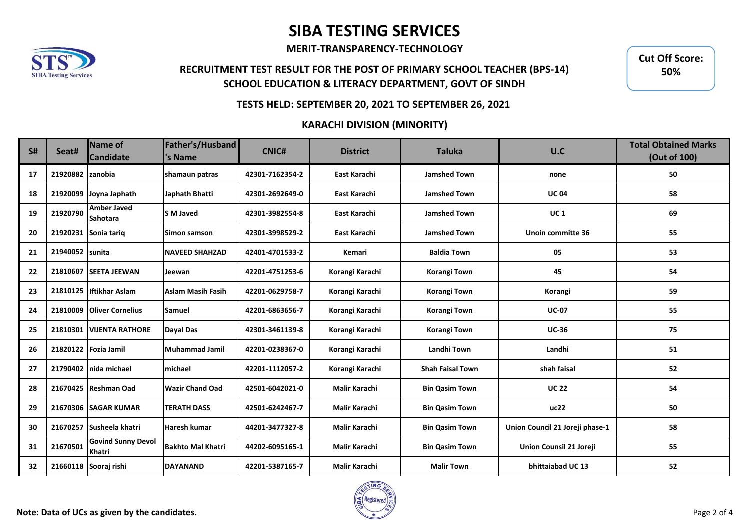**MERIT-TRANSPARENCY-TECHNOLOGY**

## **RECRUITMENT TEST RESULT FOR THE POST OF PRIMARY SCHOOL TEACHER (BPS-14) SCHOOL EDUCATION & LITERACY DEPARTMENT, GOVT OF SINDH**

**Cut Off Score: 50%**

#### **TESTS HELD: SEPTEMBER 20, 2021 TO SEPTEMBER 26, 2021**

### **KARACHI DIVISION (MINORITY)**

| <b>S#</b> | Seat#            | Name of<br><b>Candidate</b>                | Father's/Husband<br>'s Name | <b>CNIC#</b>    | <b>District</b>      | <b>Taluka</b>           | U.C                             | <b>Total Obtained Marks</b><br>(Out of 100) |
|-----------|------------------|--------------------------------------------|-----------------------------|-----------------|----------------------|-------------------------|---------------------------------|---------------------------------------------|
| 17        | 21920882 zanobia |                                            | shamaun patras              | 42301-7162354-2 | East Karachi         | <b>Jamshed Town</b>     | none                            | 50                                          |
| 18        |                  | 21920099 Joyna Japhath                     | Japhath Bhatti              | 42301-2692649-0 | East Karachi         | <b>Jamshed Town</b>     | <b>UC04</b>                     | 58                                          |
| 19        | 21920790         | <b>Amber Javed</b><br><b>Sahotara</b>      | <b>S</b> M Javed            | 42301-3982554-8 | East Karachi         | <b>Jamshed Town</b>     | <b>UC1</b>                      | 69                                          |
| 20        |                  | 21920231 Sonia tariq                       | Simon samson                | 42301-3998529-2 | East Karachi         | <b>Jamshed Town</b>     | Unoin committe 36               | 55                                          |
| 21        | 21940052         | Isunita                                    | <b>NAVEED SHAHZAD</b>       | 42401-4701533-2 | Kemari               | <b>Baldia Town</b>      | 05                              | 53                                          |
| 22        |                  | 21810607 SEETA JEEWAN                      | Jeewan                      | 42201-4751253-6 | Korangi Karachi      | Korangi Town            | 45                              | 54                                          |
| 23        |                  | 21810125 Iftikhar Aslam                    | <b>Aslam Masih Fasih</b>    | 42201-0629758-7 | Korangi Karachi      | Korangi Town            | Korangi                         | 59                                          |
| 24        | 21810009         | <b>Oliver Cornelius</b>                    | <b>Samuel</b>               | 42201-6863656-7 | Korangi Karachi      | Korangi Town            | <b>UC-07</b>                    | 55                                          |
| 25        | 21810301         | <b>UUENTA RATHORE</b>                      | Dayal Das                   | 42301-3461139-8 | Korangi Karachi      | Korangi Town            | <b>UC-36</b>                    | 75                                          |
| 26        |                  | 21820122 Fozia Jamil                       | Muhammad Jamil              | 42201-0238367-0 | Korangi Karachi      | Landhi Town             | Landhi                          | 51                                          |
| 27        |                  | 21790402 Inida michael                     | <b>Imichael</b>             | 42201-1112057-2 | Korangi Karachi      | <b>Shah Faisal Town</b> | shah faisal                     | 52                                          |
| 28        |                  | 21670425 Reshman Oad                       | <b>Wazir Chand Oad</b>      | 42501-6042021-0 | Malir Karachi        | <b>Bin Qasim Town</b>   | <b>UC 22</b>                    | 54                                          |
| 29        |                  | 21670306 SAGAR KUMAR                       | <b>TERATH DASS</b>          | 42501-6242467-7 | <b>Malir Karachi</b> | <b>Bin Qasim Town</b>   | uc22                            | 50                                          |
| 30        |                  | 21670257 Susheela khatri                   | Haresh kumar                | 44201-3477327-8 | <b>Malir Karachi</b> | <b>Bin Qasim Town</b>   | Union Council 21 Joreji phase-1 | 58                                          |
| 31        | 21670501         | <b>Govind Sunny Devol</b><br><b>Khatri</b> | <b>Bakhto Mal Khatri</b>    | 44202-6095165-1 | <b>Malir Karachi</b> | <b>Bin Qasim Town</b>   | Union Counsil 21 Joreji         | 55                                          |
| 32        |                  | 21660118 Sooraj rishi                      | <b>DAYANAND</b>             | 42201-5387165-7 | <b>Malir Karachi</b> | <b>Malir Town</b>       | bhittaiabad UC 13               | 52                                          |

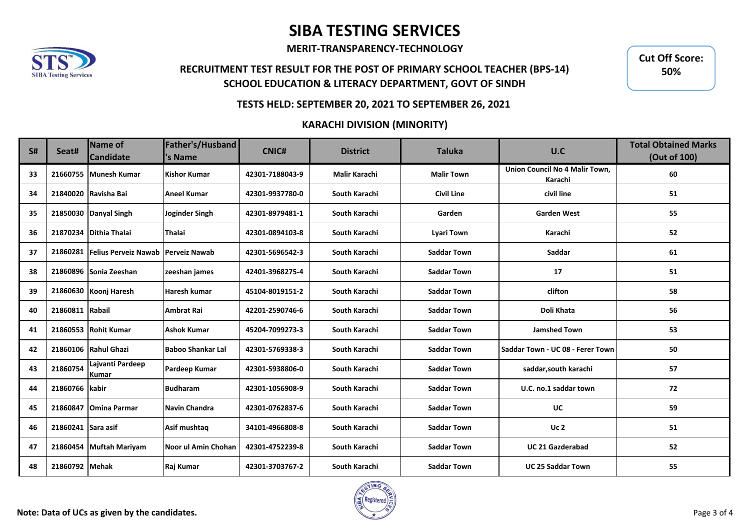**MERIT-TRANSPARENCY-TECHNOLOGY**

## **RECRUITMENT TEST RESULT FOR THE POST OF PRIMARY SCHOOL TEACHER (BPS-14) SCHOOL EDUCATION & LITERACY DEPARTMENT, GOVT OF SINDH**

**Cut Off Score: 50%**

#### **TESTS HELD: SEPTEMBER 20, 2021 TO SEPTEMBER 26, 2021**

### **KARACHI DIVISION (MINORITY)**

| <b>S#</b> | Seat#              | Name of<br><b>Candidate</b>      | Father's/Husband<br>'s Name | <b>CNIC#</b>    | <b>District</b>      | <b>Taluka</b>      | U.C                                       | <b>Total Obtained Marks</b><br>(Out of 100) |
|-----------|--------------------|----------------------------------|-----------------------------|-----------------|----------------------|--------------------|-------------------------------------------|---------------------------------------------|
| 33        |                    | 21660755 Munesh Kumar            | <b>Kishor Kumar</b>         | 42301-7188043-9 | <b>Malir Karachi</b> | <b>Malir Town</b>  | Union Council No 4 Malir Town,<br>Karachi | 60                                          |
| 34        |                    | 21840020 Ravisha Bai             | <b>Aneel Kumar</b>          | 42301-9937780-0 | South Karachi        | <b>Civil Line</b>  | civil line                                | 51                                          |
| 35        |                    | 21850030 Danyal Singh            | Joginder Singh              | 42301-8979481-1 | South Karachi        | Garden             | <b>Garden West</b>                        | 55                                          |
| 36        |                    | 21870234 Dithia Thalai           | Thalai                      | 42301-0894103-8 | South Karachi        | <b>Lyari Town</b>  | Karachi                                   | 52                                          |
| 37        |                    | 21860281 Felius Perveiz Nawab    | <b>Perveiz Nawab</b>        | 42301-5696542-3 | South Karachi        | <b>Saddar Town</b> | Saddar                                    | 61                                          |
| 38        |                    | 21860896 Sonia Zeeshan           | zeeshan james               | 42401-3968275-4 | South Karachi        | <b>Saddar Town</b> | 17                                        | 51                                          |
| 39        |                    | 21860630 Koonj Haresh            | Haresh kumar                | 45104-8019151-2 | South Karachi        | <b>Saddar Town</b> | clifton                                   | 58                                          |
| 40        | 21860811 Rabail    |                                  | <b>Ambrat Rai</b>           | 42201-2590746-6 | South Karachi        | <b>Saddar Town</b> | Doli Khata                                | 56                                          |
| 41        |                    | 21860553 Rohit Kumar             | <b>Ashok Kumar</b>          | 45204-7099273-3 | South Karachi        | <b>Saddar Town</b> | <b>Jamshed Town</b>                       | 53                                          |
| 42        |                    | 21860106 Rahul Ghazi             | <b>Baboo Shankar Lal</b>    | 42301-5769338-3 | South Karachi        | <b>Saddar Town</b> | Saddar Town - UC 08 - Ferer Town          | 50                                          |
| 43        | 21860754           | Lajvanti Pardeep<br><b>Kumar</b> | Pardeep Kumar               | 42301-5938806-0 | South Karachi        | <b>Saddar Town</b> | saddar, south karachi                     | 57                                          |
| 44        | 21860766 kabir     |                                  | <b>Budharam</b>             | 42301-1056908-9 | South Karachi        | <b>Saddar Town</b> | U.C. no.1 saddar town                     | 72                                          |
| 45        |                    | 21860847 Omina Parmar            | <b>Navin Chandra</b>        | 42301-0762837-6 | South Karachi        | <b>Saddar Town</b> | <b>UC</b>                                 | 59                                          |
| 46        | 21860241 Sara asif |                                  | Asif mushtag                | 34101-4966808-8 | South Karachi        | <b>Saddar Town</b> | Uc <sub>2</sub>                           | 51                                          |
| 47        |                    | 21860454 Muftah Mariyam          | Noor ul Amin Chohan         | 42301-4752239-8 | South Karachi        | <b>Saddar Town</b> | <b>UC 21 Gazderabad</b>                   | 52                                          |
| 48        | 21860792 Mehak     |                                  | Raj Kumar                   | 42301-3703767-2 | South Karachi        | <b>Saddar Town</b> | <b>UC 25 Saddar Town</b>                  | 55                                          |